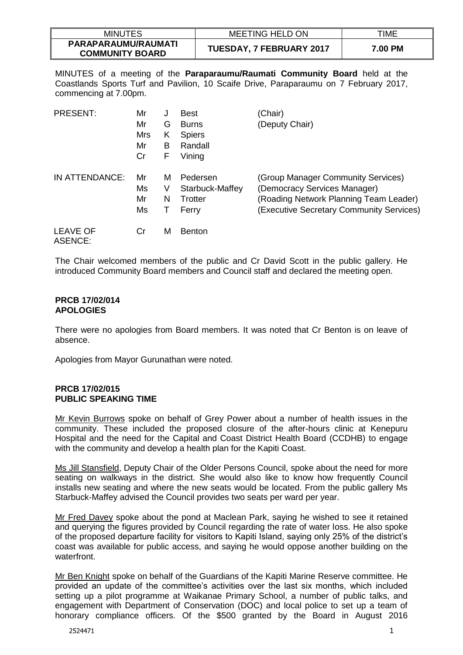| <b>MINUTES</b>                                | <b>MEETING HELD ON</b>          | TIME           |
|-----------------------------------------------|---------------------------------|----------------|
| PARAPARAUMU/RAUMATI<br><b>COMMUNITY BOARD</b> | <b>TUESDAY, 7 FEBRUARY 2017</b> | <b>7.00 PM</b> |

MINUTES of a meeting of the **Paraparaumu/Raumati Community Board** held at the Coastlands Sports Turf and Pavilion, 10 Scaife Drive, Paraparaumu on 7 February 2017, commencing at 7.00pm.

| <b>PRESENT:</b>                   | Mr<br>Mr<br>Mrs<br>Mr<br>Cr | J<br>G<br>Κ<br>В<br>F | <b>Best</b><br><b>Burns</b><br><b>Spiers</b><br>Randall<br>Vining | (Chair)<br>(Deputy Chair)                                                                                                                                |
|-----------------------------------|-----------------------------|-----------------------|-------------------------------------------------------------------|----------------------------------------------------------------------------------------------------------------------------------------------------------|
| IN ATTENDANCE:                    | Mr<br>Ms<br>Mr<br>Ms        | м<br>V<br>N           | Pedersen<br>Starbuck-Maffey<br>Trotter<br>Ferry                   | (Group Manager Community Services)<br>(Democracy Services Manager)<br>(Roading Network Planning Team Leader)<br>(Executive Secretary Community Services) |
| <b>LEAVE OF</b><br><b>ASENCE:</b> | Cr                          | М                     | <b>Benton</b>                                                     |                                                                                                                                                          |

The Chair welcomed members of the public and Cr David Scott in the public gallery. He introduced Community Board members and Council staff and declared the meeting open.

#### **PRCB 17/02/014 APOLOGIES**

There were no apologies from Board members. It was noted that Cr Benton is on leave of absence.

Apologies from Mayor Gurunathan were noted.

# **PRCB 17/02/015 PUBLIC SPEAKING TIME**

Mr Kevin Burrows spoke on behalf of Grey Power about a number of health issues in the community. These included the proposed closure of the after-hours clinic at Kenepuru Hospital and the need for the Capital and Coast District Health Board (CCDHB) to engage with the community and develop a health plan for the Kapiti Coast.

Ms Jill Stansfield, Deputy Chair of the Older Persons Council, spoke about the need for more seating on walkways in the district. She would also like to know how frequently Council installs new seating and where the new seats would be located. From the public gallery Ms Starbuck-Maffey advised the Council provides two seats per ward per year.

Mr Fred Davey spoke about the pond at Maclean Park, saying he wished to see it retained and querying the figures provided by Council regarding the rate of water loss. He also spoke of the proposed departure facility for visitors to Kapiti Island, saying only 25% of the district's coast was available for public access, and saying he would oppose another building on the waterfront.

Mr Ben Knight spoke on behalf of the Guardians of the Kapiti Marine Reserve committee. He provided an update of the committee's activities over the last six months, which included setting up a pilot programme at Waikanae Primary School, a number of public talks, and engagement with Department of Conservation (DOC) and local police to set up a team of honorary compliance officers. Of the \$500 granted by the Board in August 2016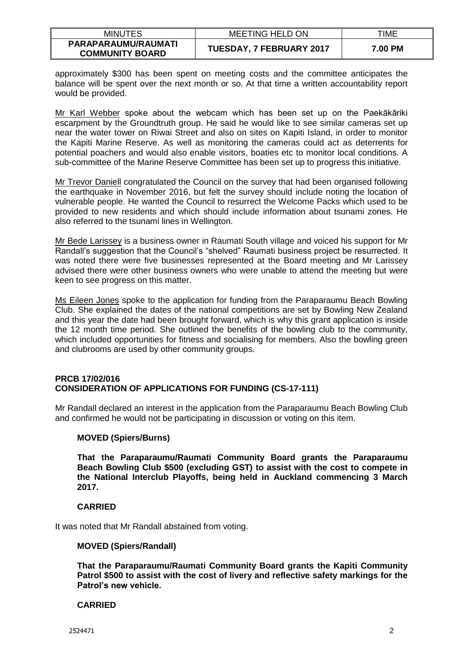| <b>MINUTES</b>                                | MEETING HELD ON                 | TIME    |
|-----------------------------------------------|---------------------------------|---------|
| PARAPARAUMU/RAUMATI<br><b>COMMUNITY BOARD</b> | <b>TUESDAY, 7 FEBRUARY 2017</b> | 7.00 PM |

approximately \$300 has been spent on meeting costs and the committee anticipates the balance will be spent over the next month or so. At that time a written accountability report would be provided.

Mr Karl Webber spoke about the webcam which has been set up on the Paekākāriki escarpment by the Groundtruth group. He said he would like to see similar cameras set up near the water tower on Riwai Street and also on sites on Kapiti Island, in order to monitor the Kapiti Marine Reserve. As well as monitoring the cameras could act as deterrents for potential poachers and would also enable visitors, boaties etc to monitor local conditions. A sub-committee of the Marine Reserve Committee has been set up to progress this initiative.

Mr Trevor Daniell congratulated the Council on the survey that had been organised following the earthquake in November 2016, but felt the survey should include noting the location of vulnerable people. He wanted the Council to resurrect the Welcome Packs which used to be provided to new residents and which should include information about tsunami zones. He also referred to the tsunami lines in Wellington.

Mr Bede Larissey is a business owner in Raumati South village and voiced his support for Mr Randall's suggestion that the Council's "shelved" Raumati business project be resurrected. It was noted there were five businesses represented at the Board meeting and Mr Larissey advised there were other business owners who were unable to attend the meeting but were keen to see progress on this matter.

Ms Eileen Jones spoke to the application for funding from the Paraparaumu Beach Bowling Club. She explained the dates of the national competitions are set by Bowling New Zealand and this year the date had been brought forward, which is why this grant application is inside the 12 month time period. She outlined the benefits of the bowling club to the community, which included opportunities for fitness and socialising for members. Also the bowling green and clubrooms are used by other community groups.

### **PRCB 17/02/016 CONSIDERATION OF APPLICATIONS FOR FUNDING (CS-17-111)**

Mr Randall declared an interest in the application from the Paraparaumu Beach Bowling Club and confirmed he would not be participating in discussion or voting on this item.

# **MOVED (Spiers/Burns)**

**That the Paraparaumu/Raumati Community Board grants the Paraparaumu Beach Bowling Club \$500 (excluding GST) to assist with the cost to compete in the National Interclub Playoffs, being held in Auckland commencing 3 March 2017.**

# **CARRIED**

It was noted that Mr Randall abstained from voting.

### **MOVED (Spiers/Randall)**

**That the Paraparaumu/Raumati Community Board grants the Kapiti Community Patrol \$500 to assist with the cost of livery and reflective safety markings for the Patrol's new vehicle.**

### **CARRIED**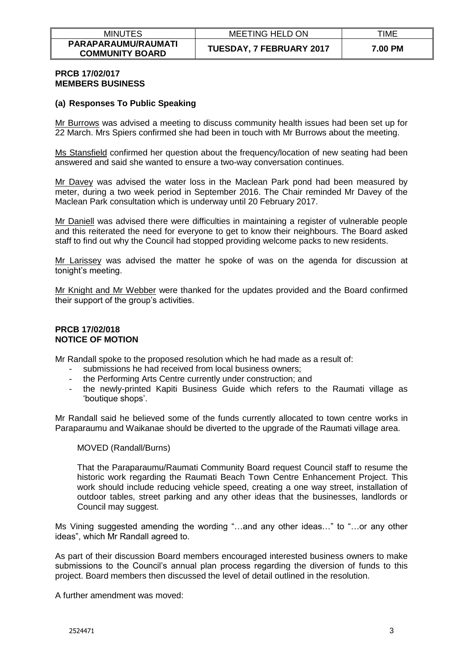| <b>MINUTES</b>                                | <b>MEETING HELD ON</b>          | TIME    |
|-----------------------------------------------|---------------------------------|---------|
| PARAPARAUMU/RAUMATI<br><b>COMMUNITY BOARD</b> | <b>TUESDAY, 7 FEBRUARY 2017</b> | 7.00 PM |

### **PRCB 17/02/017 MEMBERS BUSINESS**

### **(a) Responses To Public Speaking**

Mr Burrows was advised a meeting to discuss community health issues had been set up for 22 March. Mrs Spiers confirmed she had been in touch with Mr Burrows about the meeting.

Ms Stansfield confirmed her question about the frequency/location of new seating had been answered and said she wanted to ensure a two-way conversation continues.

Mr Davey was advised the water loss in the Maclean Park pond had been measured by meter, during a two week period in September 2016. The Chair reminded Mr Davey of the Maclean Park consultation which is underway until 20 February 2017.

Mr Daniell was advised there were difficulties in maintaining a register of vulnerable people and this reiterated the need for everyone to get to know their neighbours. The Board asked staff to find out why the Council had stopped providing welcome packs to new residents.

Mr Larissey was advised the matter he spoke of was on the agenda for discussion at tonight's meeting.

Mr Knight and Mr Webber were thanked for the updates provided and the Board confirmed their support of the group's activities.

### **PRCB 17/02/018 NOTICE OF MOTION**

Mr Randall spoke to the proposed resolution which he had made as a result of:

- submissions he had received from local business owners;
- the Performing Arts Centre currently under construction; and
- the newly-printed Kapiti Business Guide which refers to the Raumati village as 'boutique shops'.

Mr Randall said he believed some of the funds currently allocated to town centre works in Paraparaumu and Waikanae should be diverted to the upgrade of the Raumati village area.

### MOVED (Randall/Burns)

That the Paraparaumu/Raumati Community Board request Council staff to resume the historic work regarding the Raumati Beach Town Centre Enhancement Project. This work should include reducing vehicle speed, creating a one way street, installation of outdoor tables, street parking and any other ideas that the businesses, landlords or Council may suggest.

Ms Vining suggested amending the wording "…and any other ideas…" to "…or any other ideas", which Mr Randall agreed to.

As part of their discussion Board members encouraged interested business owners to make submissions to the Council's annual plan process regarding the diversion of funds to this project. Board members then discussed the level of detail outlined in the resolution.

A further amendment was moved: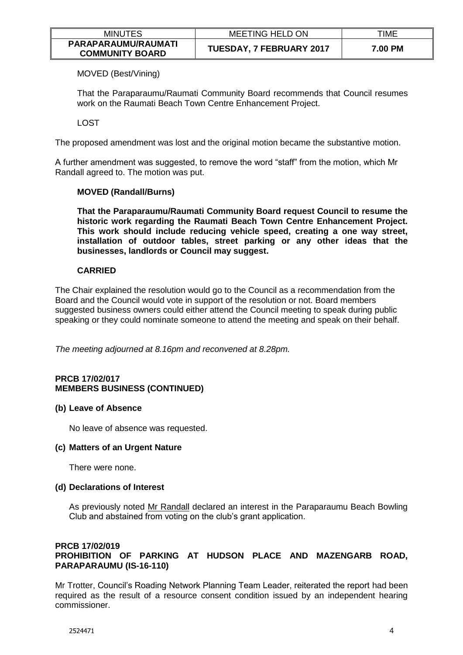| <b>MINUTES</b>                                | <b>MEETING HELD ON</b>          | TIME    |
|-----------------------------------------------|---------------------------------|---------|
| PARAPARAUMU/RAUMATI<br><b>COMMUNITY BOARD</b> | <b>TUESDAY, 7 FEBRUARY 2017</b> | 7.00 PM |

MOVED (Best/Vining)

That the Paraparaumu/Raumati Community Board recommends that Council resumes work on the Raumati Beach Town Centre Enhancement Project.

LOST

The proposed amendment was lost and the original motion became the substantive motion.

A further amendment was suggested, to remove the word "staff" from the motion, which Mr Randall agreed to. The motion was put.

# **MOVED (Randall/Burns)**

**That the Paraparaumu/Raumati Community Board request Council to resume the historic work regarding the Raumati Beach Town Centre Enhancement Project. This work should include reducing vehicle speed, creating a one way street, installation of outdoor tables, street parking or any other ideas that the businesses, landlords or Council may suggest.** 

# **CARRIED**

The Chair explained the resolution would go to the Council as a recommendation from the Board and the Council would vote in support of the resolution or not. Board members suggested business owners could either attend the Council meeting to speak during public speaking or they could nominate someone to attend the meeting and speak on their behalf.

*The meeting adjourned at 8.16pm and reconvened at 8.28pm.* 

# **PRCB 17/02/017 MEMBERS BUSINESS (CONTINUED)**

### **(b) Leave of Absence**

No leave of absence was requested.

### **(c) Matters of an Urgent Nature**

There were none.

# **(d) Declarations of Interest**

As previously noted Mr Randall declared an interest in the Paraparaumu Beach Bowling Club and abstained from voting on the club's grant application.

# **PRCB 17/02/019 PROHIBITION OF PARKING AT HUDSON PLACE AND MAZENGARB ROAD, PARAPARAUMU (IS-16-110)**

Mr Trotter, Council's Roading Network Planning Team Leader, reiterated the report had been required as the result of a resource consent condition issued by an independent hearing commissioner.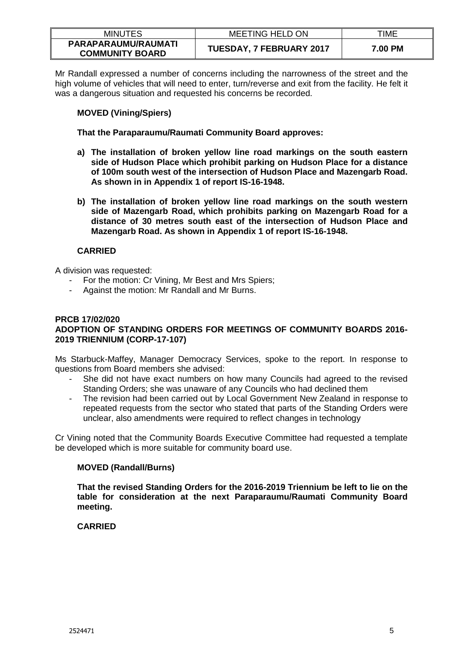| <b>MINUTES</b>                                | <b>MEETING HELD ON</b>          | TIME    |
|-----------------------------------------------|---------------------------------|---------|
| PARAPARAUMU/RAUMATI<br><b>COMMUNITY BOARD</b> | <b>TUESDAY, 7 FEBRUARY 2017</b> | 7.00 PM |

Mr Randall expressed a number of concerns including the narrowness of the street and the high volume of vehicles that will need to enter, turn/reverse and exit from the facility. He felt it was a dangerous situation and requested his concerns be recorded.

# **MOVED (Vining/Spiers)**

**That the Paraparaumu/Raumati Community Board approves:**

- **a) The installation of broken yellow line road markings on the south eastern side of Hudson Place which prohibit parking on Hudson Place for a distance of 100m south west of the intersection of Hudson Place and Mazengarb Road. As shown in in Appendix 1 of report IS-16-1948.**
- **b) The installation of broken yellow line road markings on the south western side of Mazengarb Road, which prohibits parking on Mazengarb Road for a distance of 30 metres south east of the intersection of Hudson Place and Mazengarb Road. As shown in Appendix 1 of report IS-16-1948.**

# **CARRIED**

A division was requested:

- For the motion: Cr Vining, Mr Best and Mrs Spiers;
- Against the motion: Mr Randall and Mr Burns.

### **PRCB 17/02/020 ADOPTION OF STANDING ORDERS FOR MEETINGS OF COMMUNITY BOARDS 2016- 2019 TRIENNIUM (CORP-17-107)**

Ms Starbuck-Maffey, Manager Democracy Services, spoke to the report. In response to questions from Board members she advised:

- She did not have exact numbers on how many Councils had agreed to the revised Standing Orders; she was unaware of any Councils who had declined them
- The revision had been carried out by Local Government New Zealand in response to repeated requests from the sector who stated that parts of the Standing Orders were unclear, also amendments were required to reflect changes in technology

Cr Vining noted that the Community Boards Executive Committee had requested a template be developed which is more suitable for community board use.

# **MOVED (Randall/Burns)**

**That the revised Standing Orders for the 2016-2019 Triennium be left to lie on the table for consideration at the next Paraparaumu/Raumati Community Board meeting.** 

# **CARRIED**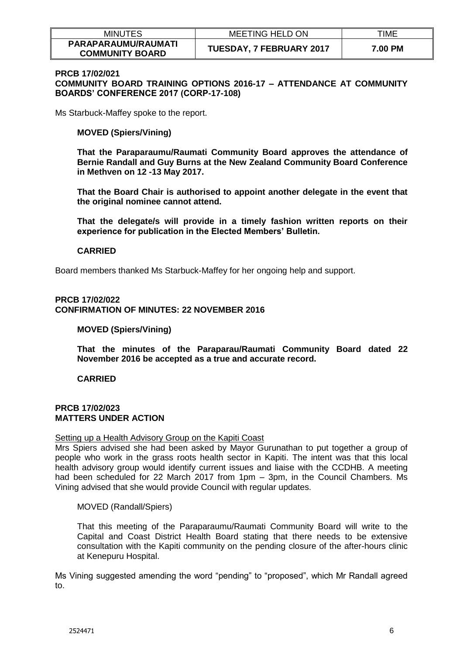| <b>MINUTES</b>                                | <b>MEETING HELD ON</b>   | TIME    |
|-----------------------------------------------|--------------------------|---------|
| PARAPARAUMU/RAUMATI<br><b>COMMUNITY BOARD</b> | TUESDAY, 7 FEBRUARY 2017 | 7.00 PM |

#### **PRCB 17/02/021**

**COMMUNITY BOARD TRAINING OPTIONS 2016-17 – ATTENDANCE AT COMMUNITY BOARDS' CONFERENCE 2017 (CORP-17-108)**

Ms Starbuck-Maffey spoke to the report.

#### **MOVED (Spiers/Vining)**

**That the Paraparaumu/Raumati Community Board approves the attendance of Bernie Randall and Guy Burns at the New Zealand Community Board Conference in Methven on 12 -13 May 2017.**

**That the Board Chair is authorised to appoint another delegate in the event that the original nominee cannot attend.**

**That the delegate/s will provide in a timely fashion written reports on their experience for publication in the Elected Members' Bulletin.** 

#### **CARRIED**

Board members thanked Ms Starbuck-Maffey for her ongoing help and support.

# **PRCB 17/02/022 CONFIRMATION OF MINUTES: 22 NOVEMBER 2016**

#### **MOVED (Spiers/Vining)**

**That the minutes of the Paraparau/Raumati Community Board dated 22 November 2016 be accepted as a true and accurate record.**

**CARRIED**

### **PRCB 17/02/023 MATTERS UNDER ACTION**

#### Setting up a Health Advisory Group on the Kapiti Coast

Mrs Spiers advised she had been asked by Mayor Gurunathan to put together a group of people who work in the grass roots health sector in Kapiti. The intent was that this local health advisory group would identify current issues and liaise with the CCDHB. A meeting had been scheduled for 22 March 2017 from 1pm – 3pm, in the Council Chambers. Ms Vining advised that she would provide Council with regular updates.

### MOVED (Randall/Spiers)

That this meeting of the Paraparaumu/Raumati Community Board will write to the Capital and Coast District Health Board stating that there needs to be extensive consultation with the Kapiti community on the pending closure of the after-hours clinic at Kenepuru Hospital.

Ms Vining suggested amending the word "pending" to "proposed", which Mr Randall agreed to.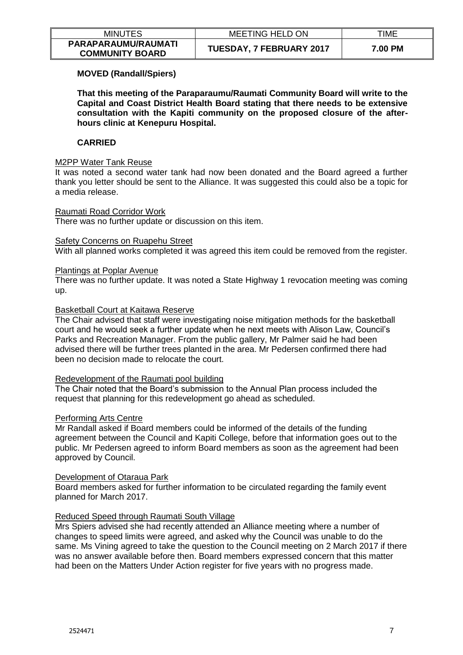| <b>MINUTES</b>                                | <b>MEETING HELD ON</b>          | TIME    |
|-----------------------------------------------|---------------------------------|---------|
| PARAPARAUMU/RAUMATI<br><b>COMMUNITY BOARD</b> | <b>TUESDAY, 7 FEBRUARY 2017</b> | 7.00 PM |

# **MOVED (Randall/Spiers)**

**That this meeting of the Paraparaumu/Raumati Community Board will write to the Capital and Coast District Health Board stating that there needs to be extensive consultation with the Kapiti community on the proposed closure of the afterhours clinic at Kenepuru Hospital.** 

# **CARRIED**

### M2PP Water Tank Reuse

It was noted a second water tank had now been donated and the Board agreed a further thank you letter should be sent to the Alliance. It was suggested this could also be a topic for a media release.

#### Raumati Road Corridor Work

There was no further update or discussion on this item.

### Safety Concerns on Ruapehu Street

With all planned works completed it was agreed this item could be removed from the register.

#### Plantings at Poplar Avenue

There was no further update. It was noted a State Highway 1 revocation meeting was coming up.

### Basketball Court at Kaitawa Reserve

The Chair advised that staff were investigating noise mitigation methods for the basketball court and he would seek a further update when he next meets with Alison Law, Council's Parks and Recreation Manager. From the public gallery, Mr Palmer said he had been advised there will be further trees planted in the area. Mr Pedersen confirmed there had been no decision made to relocate the court.

# Redevelopment of the Raumati pool building

The Chair noted that the Board's submission to the Annual Plan process included the request that planning for this redevelopment go ahead as scheduled.

### Performing Arts Centre

Mr Randall asked if Board members could be informed of the details of the funding agreement between the Council and Kapiti College, before that information goes out to the public. Mr Pedersen agreed to inform Board members as soon as the agreement had been approved by Council.

### Development of Otaraua Park

Board members asked for further information to be circulated regarding the family event planned for March 2017.

### Reduced Speed through Raumati South Village

Mrs Spiers advised she had recently attended an Alliance meeting where a number of changes to speed limits were agreed, and asked why the Council was unable to do the same. Ms Vining agreed to take the question to the Council meeting on 2 March 2017 if there was no answer available before then. Board members expressed concern that this matter had been on the Matters Under Action register for five years with no progress made.